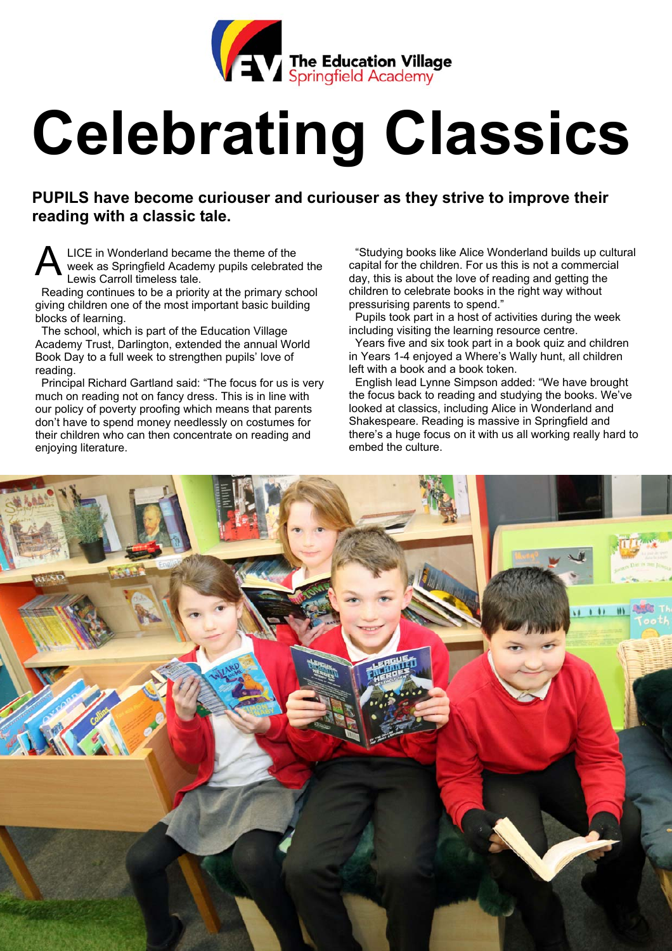

## **Celebrating Classics**

**PUPILS have become curiouser and curiouser as they strive to improve their reading with a classic tale.** 

LICE in Wonderland became the theme of the week as Springfield Academy pupils celebrated the Lewis Carroll timeless tale.

 Reading continues to be a priority at the primary school giving children one of the most important basic building blocks of learning.

 The school, which is part of the Education Village Academy Trust, Darlington, extended the annual World Book Day to a full week to strengthen pupils' love of reading.

 Principal Richard Gartland said: "The focus for us is very much on reading not on fancy dress. This is in line with our policy of poverty proofing which means that parents don't have to spend money needlessly on costumes for their children who can then concentrate on reading and enjoying literature.

"Studying books like Alice Wonderland builds up cultural capital for the children. For us this is not a commercial day, this is about the love of reading and getting the children to celebrate books in the right way without pressurising parents to spend."

 Pupils took part in a host of activities during the week including visiting the learning resource centre.

Years five and six took part in a book quiz and children in Years 1-4 enjoyed a Where's Wally hunt, all children left with a book and a book token.

 English lead Lynne Simpson added: "We have brought the focus back to reading and studying the books. We've looked at classics, including Alice in Wonderland and Shakespeare. Reading is massive in Springfield and there's a huge focus on it with us all working really hard to embed the culture.